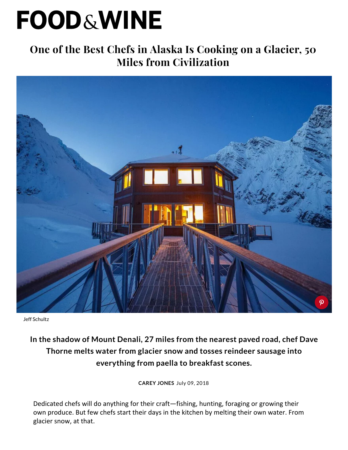## **FOOD&WINE**

## **[One of the Best Chefs in Alaska Is Cooking on a Glacier, 50](https://www.foodandwine.com/)  Miles from Civilization**



Jeff Schultz

## **In the shadow of Mount Denali, 27 miles from the nearest paved road, chef Dave Thorne melts water from glacier snow and tosses reindeer sausage into everything from paella to breakfast scones.**

**[CAREY JONES](https://www.foodandwine.com/contributors/carey-jones)** July 09, 2018

Dedicated chefs will do anything for their craft—fishing, hunting, foraging or growing their own produce. But few chefs start their days in the kitchen by melting their own water. From glacier snow, at that.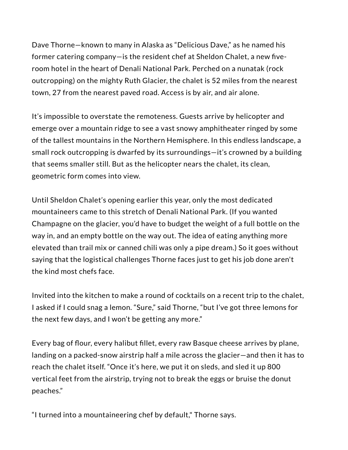Dave Thorne—known to many in [Alaska](https://www.foodandwine.com/travel/united-states/summer-berry-picking-alaska-trip) as "Delicious Dave," as he named his former catering company—is the resident chef at [Sheldon Chalet](https://sheldonchalet.com/), a new fiveroom hotel in the heart of [Denali National Park](https://www.nps.gov/dena/index.htm). Perched on a nunatak (rock outcropping) on the mighty Ruth Glacier, the chalet is 52 miles from the nearest town, 27 from the nearest paved road. Access is by air, and air alone.

It's impossible to overstate the remoteness. Guests arrive by helicopter and emerge over a mountain ridge to see a vast snowy amphitheater ringed by some of the tallest mountains in the Northern Hemisphere. In this endless landscape, a small rock outcropping is dwarfed by its surroundings—it's crowned by a building that seems smaller still. But as the helicopter nears the chalet, its clean, geometric form comes into view.

Until Sheldon Chalet's opening earlier this year, only the most dedicated mountaineers came to this stretch of Denali National Park. (If you wanted Champagne on the glacier, you'd have to budget the weight of a full bottle on the way in, and an empty bottle on the way out. The idea of eating anything more elevated than [trail mix](https://www.foodandwine.com/recipes/fruit-and-nut-trail-mix) or canned chili was only a pipe dream.) So it goes without saying that the logistical challenges Thorne faces just to get his job done aren't the kind most chefs face.

Invited into the kitchen to make a round of cocktails on a recent trip to the chalet, I asked if I could snag a lemon. "Sure," said Thorne, "but I've got three lemons for the next few days, and I won't be getting any more."

Every bag of flour, every halibut fillet, every raw Basque cheese arrives by plane, landing on a packed-snow airstrip half a mile across the glacier—and then it has to reach the chalet itself. "Once it's here, we put it on sleds, and sled it up 800 vertical feet from the airstrip, trying not to break the eggs or bruise the donut peaches."

"I turned into a mountaineering chef by default," Thorne says.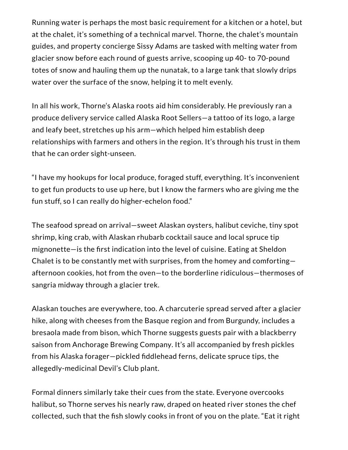Running water is perhaps the most basic requirement for a kitchen or a hotel, but at the chalet, it's something of a technical marvel. Thorne, the chalet's mountain guides, and property concierge Sissy Adams are tasked with melting water from glacier snow before each round of guests arrive, scooping up 40- to 70-pound totes of snow and hauling them up the nunatak, to a large tank that slowly drips water over the surface of the snow, helping it to melt evenly.

In all his work, Thorne's Alaska roots aid him considerably. He previously ran a produce delivery service called Alaska Root Sellers—a tattoo of its logo, a large and leafy beet, stretches up his arm—which helped him establish deep relationships with farmers and others in the region. It's through his trust in them that he can order sight-unseen.

"I have my hookups for local produce, foraged stuff, everything. It's inconvenient to get fun products to use up here, but I know the farmers who are giving me the fun stuff, so I can really do higher-echelon food."

The [seafood spread](https://www.foodandwine.com/seafood) on arrival—sweet Alaskan oysters, halibut ceviche, tiny spot shrimp, king crab, with Alaskan rhubarb cocktail sauce and local spruce tip  $m$ ignonette—is the first indication into the level of cuisine. Eating at Sheldon Chalet is to be constantly met with surprises, from the homey and comforting afternoon cookies, hot from the oven—to the borderline ridiculous—thermoses of sangria midway through a glacier trek.

Alaskan touches are everywhere, too. A charcuterie spread served after a glacier hike, along with cheeses from the Basque region and from Burgundy, includes a bresaola made from bison, which Thorne suggests guests pair with a blackberry saison from [Anchorage Brewing Company](https://anchoragebrewing.company/). It's all accompanied by fresh pickles from his Alaska forager—pickled fiddlehead ferns, delicate spruce tips, the allegedly-medicinal Devil's Club plant.

Formal dinners similarly take their cues from the state. Everyone overcooks halibut, so Thorne serves his nearly raw, draped on heated river stones the chef collected, such that the fish slowly cooks in front of you on the plate. "Eat it right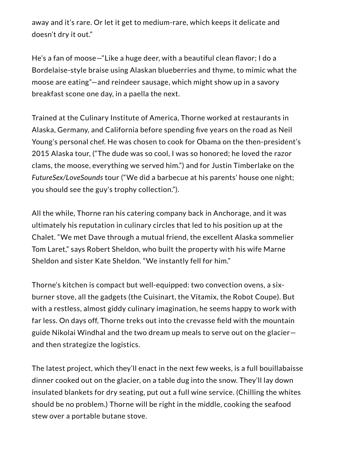away and it's rare. Or let it get to medium-rare, which keeps it delicate and doesn't dry it out."

He's a fan of moose—"Like a huge deer, with a beautiful clean flavor; I do a [Bordelaise-style](https://www.foodandwine.com/recipes/steak-bordelaise) braise using Alaskan blueberries and thyme, to mimic what the moose are eating"—and reindeer sausage, which might show up in a savory breakfast scone one day, in a paella the next.

Trained at the Culinary Institute of America, Thorne worked at restaurants in Alaska, Germany, and California before spending five years on the road as Neil Young's personal chef. He was chosen to cook for Obama on the then-president's 2015 Alaska tour, ("The dude was so cool, I was so honored; he loved the razor clams, the moose, everything we served him.") and for Justin Timberlake on the *FutureSex/LoveSounds* tour ("We did a barbecue at his parents' house one night; you should see the guy's trophy collection.").

All the while, Thorne ran his catering company back in Anchorage, and it was ultimately his reputation in culinary circles that led to his position up at the Chalet. "We met Dave through a mutual friend, the excellent Alaska sommelier Tom Laret," says Robert Sheldon, who built the property with his wife Marne Sheldon and sister Kate Sheldon. "We instantly fell for him."

Thorne's kitchen is compact but well-equipped: two convection ovens, a sixburner stove, all the gadgets (the [Cuisinart](https://amzn.to/2u2zBYj), the [Vitamix,](https://amzn.to/2m79TNW) the [Robot Coupe](https://amzn.to/2u4klKC)). But with a restless, almost giddy culinary imagination, he seems happy to work with far less. On days off, Thorne treks out into the crevasse field with the mountain guide Nikolai Windhal and the two dream up meals to serve out on the glacier and then strategize the logistics.

The latest project, which they'll enact in the next few weeks, is a full [bouillabaisse](https://www.foodandwine.com/recipes/bouillabaisse) dinner cooked out on the glacier, on a table dug into the snow. They'll lay down insulated blankets for dry seating, put out a full wine service. (Chilling the whites should be no problem.) Thorne will be right in the middle, cooking the seafood stew over a portable butane stove.